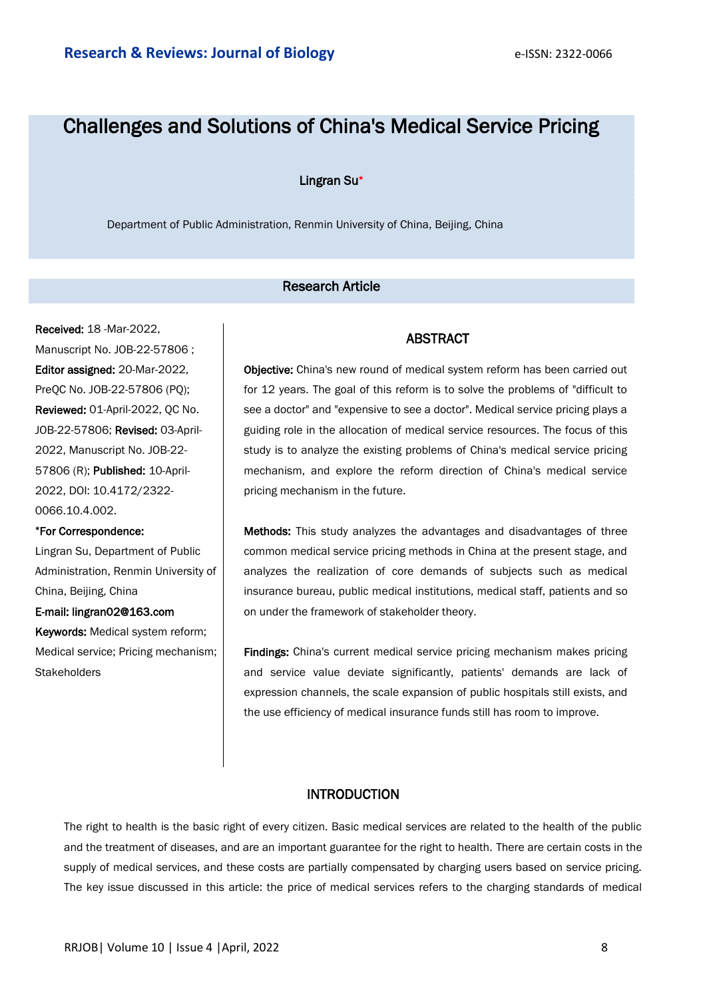# Challenges and Solutions of China's Medical Service Pricing

## Lingran Su\*

Department of Public Administration, Renmin University of China, Beijing, China

# Research Article

Received: 18 -Mar-2022, Manuscript No. JOB-22-57806 ; Editor assigned: 20-Mar-2022, PreQC No. JOB-22-57806 (PQ); Reviewed: 01-April-2022, QC No. JOB-22-57806; Revised: 03-April-2022, Manuscript No. JOB-22- 57806 (R); Published: 10-April-2022, DOI: 10.4172/2322- 0066.10.4.002.

#### \*For Correspondence:

Lingran Su, Department of Public Administration, Renmin University of China, Beijing, China

## E-mail: lingran02@163.com

Keywords: Medical system reform; Medical service; Pricing mechanism; **Stakeholders** 

### ABSTRACT

Objective: China's new round of medical system reform has been carried out for 12 years. The goal of this reform is to solve the problems of "difficult to see a doctor" and "expensive to see a doctor". Medical service pricing plays a guiding role in the allocation of medical service resources. The focus of this study is to analyze the existing problems of China's medical service pricing mechanism, and explore the reform direction of China's medical service pricing mechanism in the future.

Methods: This study analyzes the advantages and disadvantages of three common medical service pricing methods in China at the present stage, and analyzes the realization of core demands of subjects such as medical insurance bureau, public medical institutions, medical staff, patients and so on under the framework of stakeholder theory.

Findings: China's current medical service pricing mechanism makes pricing and service value deviate significantly, patients' demands are lack of expression channels, the scale expansion of public hospitals still exists, and the use efficiency of medical insurance funds still has room to improve.

## INTRODUCTION

The right to health is the basic right of every citizen. Basic medical services are related to the health of the public and the treatment of diseases, and are an important guarantee for the right to health. There are certain costs in the supply of medical services, and these costs are partially compensated by charging users based on service pricing. The key issue discussed in this article: the price of medical services refers to the charging standards of medical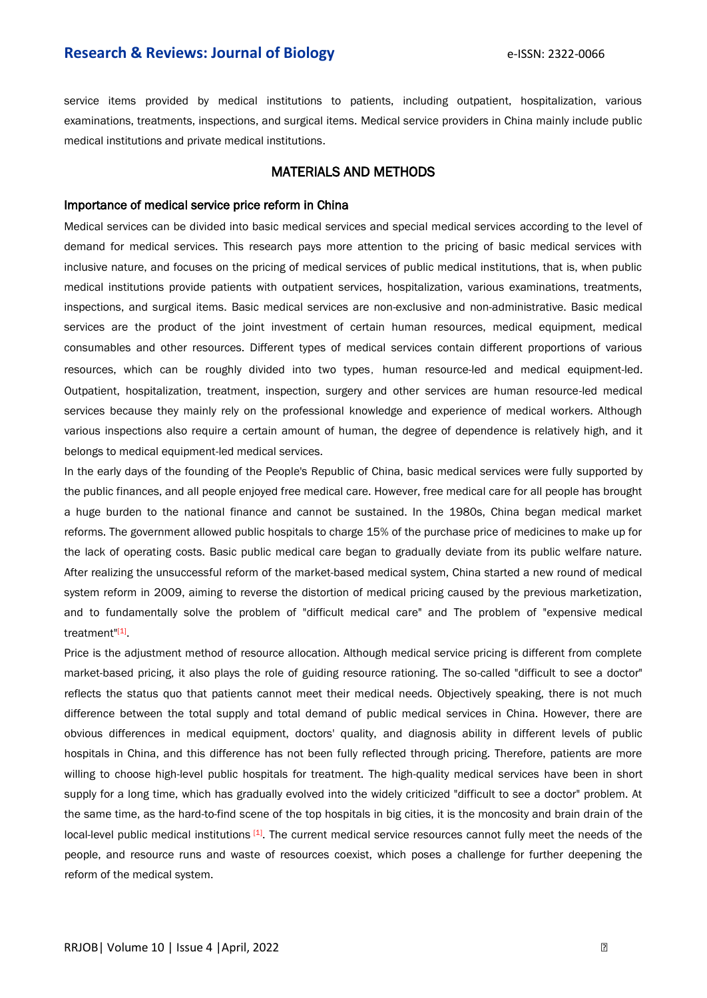service items provided by medical institutions to patients, including outpatient, hospitalization, various examinations, treatments, inspections, and surgical items. Medical service providers in China mainly include public medical institutions and private medical institutions.

# MATERIALS AND METHODS

#### Importance of medical service price reform in China

Medical services can be divided into basic medical services and special medical services according to the level of demand for medical services. This research pays more attention to the pricing of basic medical services with inclusive nature, and focuses on the pricing of medical services of public medical institutions, that is, when public medical institutions provide patients with outpatient services, hospitalization, various examinations, treatments, inspections, and surgical items. Basic medical services are non-exclusive and non-administrative. Basic medical services are the product of the joint investment of certain human resources, medical equipment, medical consumables and other resources. Different types of medical services contain different proportions of various resources, which can be roughly divided into two types, human resource-led and medical equipment-led. Outpatient, hospitalization, treatment, inspection, surgery and other services are human resource-led medical services because they mainly rely on the professional knowledge and experience of medical workers. Although various inspections also require a certain amount of human, the degree of dependence is relatively high, and it belongs to medical equipment-led medical services.

In the early days of the founding of the People's Republic of China, basic medical services were fully supported by the public finances, and all people enjoyed free medical care. However, free medical care for all people has brought a huge burden to the national finance and cannot be sustained. In the 1980s, China began medical market reforms. The government allowed public hospitals to charge 15% of the purchase price of medicines to make up for the lack of operating costs. Basic public medical care began to gradually deviate from its public welfare nature. After realizing the unsuccessful reform of the market-based medical system, China started a new round of medical system reform in 2009, aiming to reverse the distortion of medical pricing caused by the previous marketization, and to fundamentally solve the problem of "difficult medical care" and The problem of "expensive medical treatment"<sup>[1]</sup>

Price is the adjustment method of resource allocation. Although medical service pricing is different from complete market-based pricing, it also plays the role of guiding resource rationing. The so-called "difficult to see a doctor" reflects the status quo that patients cannot meet their medical needs. Objectively speaking, there is not much difference between the total supply and total demand of public medical services in China. However, there are obvious differences in medical equipment, doctors' quality, and diagnosis ability in different levels of public hospitals in China, and this difference has not been fully reflected through pricing. Therefore, patients are more willing to choose high-level public hospitals for treatment. The high-quality medical services have been in short supply for a long time, which has gradually evolved into the widely criticized "difficult to see a doctor" problem. At the same time, as the hard-to-find scene of the top hospitals in big cities, it is the moncosity and brain drain of the local-level public medical institutions [1]. The current medical service resources cannot fully meet the needs of the people, and resource runs and waste of resources coexist, which poses a challenge for further deepening the reform of the medical system.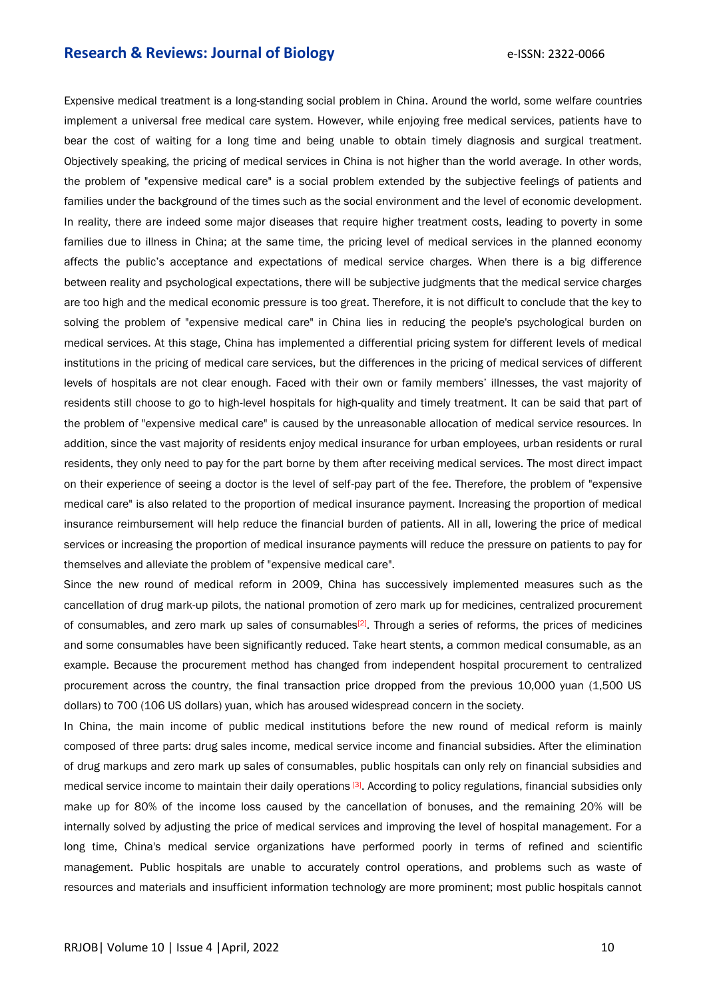Expensive medical treatment is a long-standing social problem in China. Around the world, some welfare countries implement a universal free medical care system. However, while enjoying free medical services, patients have to bear the cost of waiting for a long time and being unable to obtain timely diagnosis and surgical treatment. Objectively speaking, the pricing of medical services in China is not higher than the world average. In other words, the problem of "expensive medical care" is a social problem extended by the subjective feelings of patients and families under the background of the times such as the social environment and the level of economic development. In reality, there are indeed some major diseases that require higher treatment costs, leading to poverty in some families due to illness in China; at the same time, the pricing level of medical services in the planned economy affects the public's acceptance and expectations of medical service charges. When there is a big difference between reality and psychological expectations, there will be subjective judgments that the medical service charges are too high and the medical economic pressure is too great. Therefore, it is not difficult to conclude that the key to solving the problem of "expensive medical care" in China lies in reducing the people's psychological burden on medical services. At this stage, China has implemented a differential pricing system for different levels of medical institutions in the pricing of medical care services, but the differences in the pricing of medical services of different levels of hospitals are not clear enough. Faced with their own or family members' illnesses, the vast majority of residents still choose to go to high-level hospitals for high-quality and timely treatment. It can be said that part of the problem of "expensive medical care" is caused by the unreasonable allocation of medical service resources. In addition, since the vast majority of residents enjoy medical insurance for urban employees, urban residents or rural residents, they only need to pay for the part borne by them after receiving medical services. The most direct impact on their experience of seeing a doctor is the level of self-pay part of the fee. Therefore, the problem of "expensive medical care" is also related to the proportion of medical insurance payment. Increasing the proportion of medical insurance reimbursement will help reduce the financial burden of patients. All in all, lowering the price of medical services or increasing the proportion of medical insurance payments will reduce the pressure on patients to pay for themselves and alleviate the problem of "expensive medical care".

Since the new round of medical reform in 2009, China has successively implemented measures such as the cancellation of drug mark-up pilots, the national promotion of zero mark up for medicines, centralized procurement of consumables, and zero mark up sales of consumables<sup>[2]</sup>. Through a series of reforms, the prices of medicines and some consumables have been significantly reduced. Take heart stents, a common medical consumable, as an example. Because the procurement method has changed from independent hospital procurement to centralized procurement across the country, the final transaction price dropped from the previous 10,000 yuan (1,500 US dollars) to 700 (106 US dollars) yuan, which has aroused widespread concern in the society.

In China, the main income of public medical institutions before the new round of medical reform is mainly composed of three parts: drug sales income, medical service income and financial subsidies. After the elimination of drug markups and zero mark up sales of consumables, public hospitals can only rely on financial subsidies and medical service income to maintain their daily operations [3]. According to policy regulations, financial subsidies only make up for 80% of the income loss caused by the cancellation of bonuses, and the remaining 20% will be internally solved by adjusting the price of medical services and improving the level of hospital management. For a long time, China's medical service organizations have performed poorly in terms of refined and scientific management. Public hospitals are unable to accurately control operations, and problems such as waste of resources and materials and insufficient information technology are more prominent; most public hospitals cannot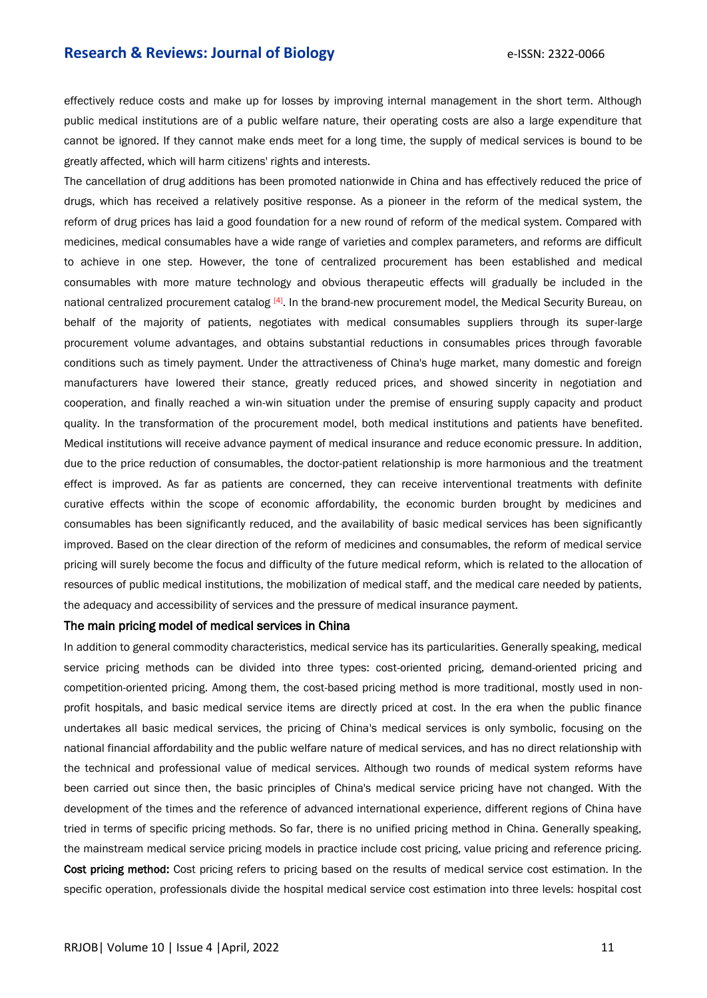effectively reduce costs and make up for losses by improving internal management in the short term. Although public medical institutions are of a public welfare nature, their operating costs are also a large expenditure that cannot be ignored. If they cannot make ends meet for a long time, the supply of medical services is bound to be greatly affected, which will harm citizens' rights and interests.

The cancellation of drug additions has been promoted nationwide in China and has effectively reduced the price of drugs, which has received a relatively positive response. As a pioneer in the reform of the medical system, the reform of drug prices has laid a good foundation for a new round of reform of the medical system. Compared with medicines, medical consumables have a wide range of varieties and complex parameters, and reforms are difficult to achieve in one step. However, the tone of centralized procurement has been established and medical consumables with more mature technology and obvious therapeutic effects will gradually be included in the national centralized procurement catalog [4]. In the brand-new procurement model, the Medical Security Bureau, on behalf of the majority of patients, negotiates with medical consumables suppliers through its super-large procurement volume advantages, and obtains substantial reductions in consumables prices through favorable conditions such as timely payment. Under the attractiveness of China's huge market, many domestic and foreign manufacturers have lowered their stance, greatly reduced prices, and showed sincerity in negotiation and cooperation, and finally reached a win-win situation under the premise of ensuring supply capacity and product quality. In the transformation of the procurement model, both medical institutions and patients have benefited. Medical institutions will receive advance payment of medical insurance and reduce economic pressure. In addition, due to the price reduction of consumables, the doctor-patient relationship is more harmonious and the treatment effect is improved. As far as patients are concerned, they can receive interventional treatments with definite curative effects within the scope of economic affordability, the economic burden brought by medicines and consumables has been significantly reduced, and the availability of basic medical services has been significantly improved. Based on the clear direction of the reform of medicines and consumables, the reform of medical service pricing will surely become the focus and difficulty of the future medical reform, which is related to the allocation of resources of public medical institutions, the mobilization of medical staff, and the medical care needed by patients, the adequacy and accessibility of services and the pressure of medical insurance payment.

#### The main pricing model of medical services in China

In addition to general commodity characteristics, medical service has its particularities. Generally speaking, medical service pricing methods can be divided into three types: cost-oriented pricing, demand-oriented pricing and competition-oriented pricing. Among them, the cost-based pricing method is more traditional, mostly used in nonprofit hospitals, and basic medical service items are directly priced at cost. In the era when the public finance undertakes all basic medical services, the pricing of China's medical services is only symbolic, focusing on the national financial affordability and the public welfare nature of medical services, and has no direct relationship with the technical and professional value of medical services. Although two rounds of medical system reforms have been carried out since then, the basic principles of China's medical service pricing have not changed. With the development of the times and the reference of advanced international experience, different regions of China have tried in terms of specific pricing methods. So far, there is no unified pricing method in China. Generally speaking, the mainstream medical service pricing models in practice include cost pricing, value pricing and reference pricing. Cost pricing method: Cost pricing refers to pricing based on the results of medical service cost estimation. In the specific operation, professionals divide the hospital medical service cost estimation into three levels: hospital cost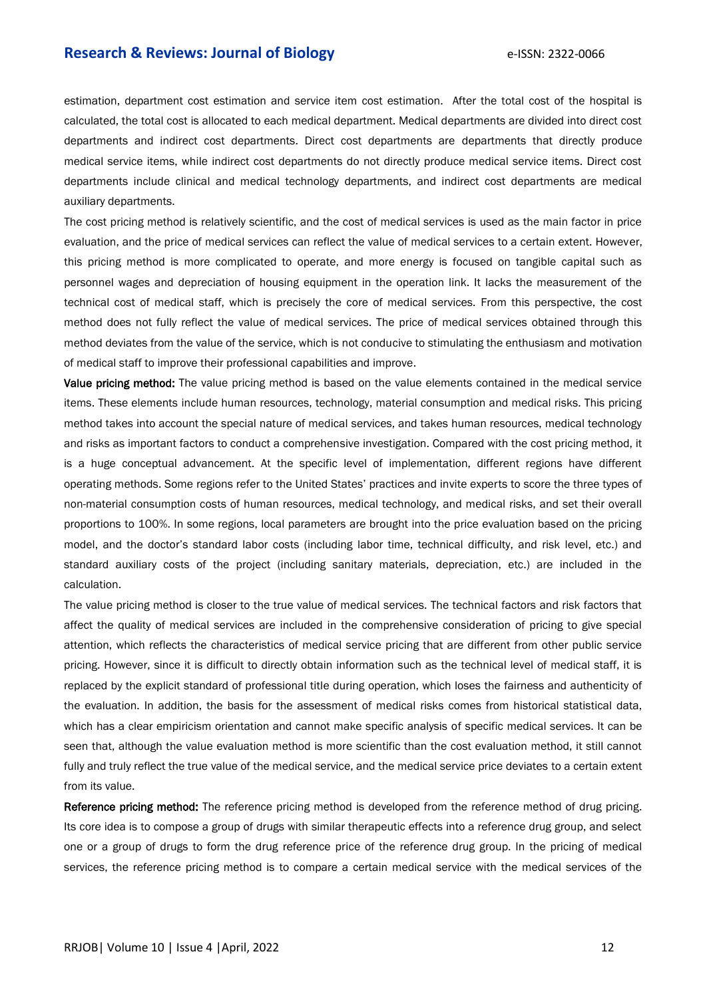estimation, department cost estimation and service item cost estimation. After the total cost of the hospital is calculated, the total cost is allocated to each medical department. Medical departments are divided into direct cost departments and indirect cost departments. Direct cost departments are departments that directly produce medical service items, while indirect cost departments do not directly produce medical service items. Direct cost departments include clinical and medical technology departments, and indirect cost departments are medical auxiliary departments.

The cost pricing method is relatively scientific, and the cost of medical services is used as the main factor in price evaluation, and the price of medical services can reflect the value of medical services to a certain extent. However, this pricing method is more complicated to operate, and more energy is focused on tangible capital such as personnel wages and depreciation of housing equipment in the operation link. It lacks the measurement of the technical cost of medical staff, which is precisely the core of medical services. From this perspective, the cost method does not fully reflect the value of medical services. The price of medical services obtained through this method deviates from the value of the service, which is not conducive to stimulating the enthusiasm and motivation of medical staff to improve their professional capabilities and improve.

Value pricing method: The value pricing method is based on the value elements contained in the medical service items. These elements include human resources, technology, material consumption and medical risks. This pricing method takes into account the special nature of medical services, and takes human resources, medical technology and risks as important factors to conduct a comprehensive investigation. Compared with the cost pricing method, it is a huge conceptual advancement. At the specific level of implementation, different regions have different operating methods. Some regions refer to the United States' practices and invite experts to score the three types of non-material consumption costs of human resources, medical technology, and medical risks, and set their overall proportions to 100%. In some regions, local parameters are brought into the price evaluation based on the pricing model, and the doctor's standard labor costs (including labor time, technical difficulty, and risk level, etc.) and standard auxiliary costs of the project (including sanitary materials, depreciation, etc.) are included in the calculation.

The value pricing method is closer to the true value of medical services. The technical factors and risk factors that affect the quality of medical services are included in the comprehensive consideration of pricing to give special attention, which reflects the characteristics of medical service pricing that are different from other public service pricing. However, since it is difficult to directly obtain information such as the technical level of medical staff, it is replaced by the explicit standard of professional title during operation, which loses the fairness and authenticity of the evaluation. In addition, the basis for the assessment of medical risks comes from historical statistical data, which has a clear empiricism orientation and cannot make specific analysis of specific medical services. It can be seen that, although the value evaluation method is more scientific than the cost evaluation method, it still cannot fully and truly reflect the true value of the medical service, and the medical service price deviates to a certain extent from its value.

Reference pricing method: The reference pricing method is developed from the reference method of drug pricing. Its core idea is to compose a group of drugs with similar therapeutic effects into a reference drug group, and select one or a group of drugs to form the drug reference price of the reference drug group. In the pricing of medical services, the reference pricing method is to compare a certain medical service with the medical services of the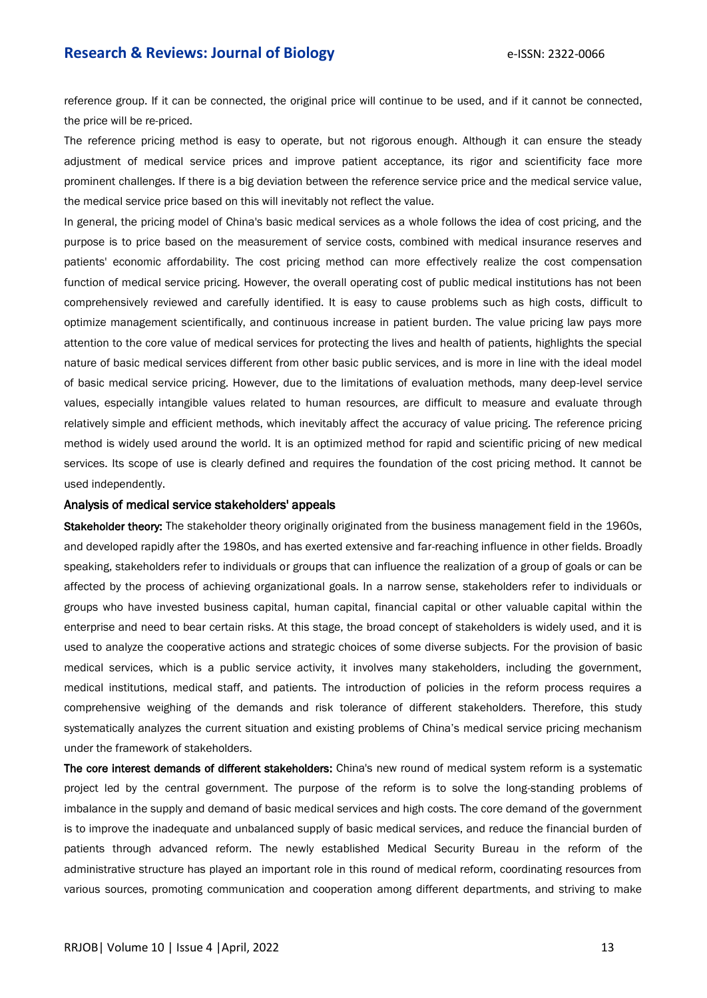reference group. If it can be connected, the original price will continue to be used, and if it cannot be connected, the price will be re-priced.

The reference pricing method is easy to operate, but not rigorous enough. Although it can ensure the steady adjustment of medical service prices and improve patient acceptance, its rigor and scientificity face more prominent challenges. If there is a big deviation between the reference service price and the medical service value, the medical service price based on this will inevitably not reflect the value.

In general, the pricing model of China's basic medical services as a whole follows the idea of cost pricing, and the purpose is to price based on the measurement of service costs, combined with medical insurance reserves and patients' economic affordability. The cost pricing method can more effectively realize the cost compensation function of medical service pricing. However, the overall operating cost of public medical institutions has not been comprehensively reviewed and carefully identified. It is easy to cause problems such as high costs, difficult to optimize management scientifically, and continuous increase in patient burden. The value pricing law pays more attention to the core value of medical services for protecting the lives and health of patients, highlights the special nature of basic medical services different from other basic public services, and is more in line with the ideal model of basic medical service pricing. However, due to the limitations of evaluation methods, many deep-level service values, especially intangible values related to human resources, are difficult to measure and evaluate through relatively simple and efficient methods, which inevitably affect the accuracy of value pricing. The reference pricing method is widely used around the world. It is an optimized method for rapid and scientific pricing of new medical services. Its scope of use is clearly defined and requires the foundation of the cost pricing method. It cannot be used independently.

#### Analysis of medical service stakeholders' appeals

Stakeholder theory: The stakeholder theory originally originated from the business management field in the 1960s, and developed rapidly after the 1980s, and has exerted extensive and far-reaching influence in other fields. Broadly speaking, stakeholders refer to individuals or groups that can influence the realization of a group of goals or can be affected by the process of achieving organizational goals. In a narrow sense, stakeholders refer to individuals or groups who have invested business capital, human capital, financial capital or other valuable capital within the enterprise and need to bear certain risks. At this stage, the broad concept of stakeholders is widely used, and it is used to analyze the cooperative actions and strategic choices of some diverse subjects. For the provision of basic medical services, which is a public service activity, it involves many stakeholders, including the government, medical institutions, medical staff, and patients. The introduction of policies in the reform process requires a comprehensive weighing of the demands and risk tolerance of different stakeholders. Therefore, this study systematically analyzes the current situation and existing problems of China's medical service pricing mechanism under the framework of stakeholders.

The core interest demands of different stakeholders: China's new round of medical system reform is a systematic project led by the central government. The purpose of the reform is to solve the long-standing problems of imbalance in the supply and demand of basic medical services and high costs. The core demand of the government is to improve the inadequate and unbalanced supply of basic medical services, and reduce the financial burden of patients through advanced reform. The newly established Medical Security Bureau in the reform of the administrative structure has played an important role in this round of medical reform, coordinating resources from various sources, promoting communication and cooperation among different departments, and striving to make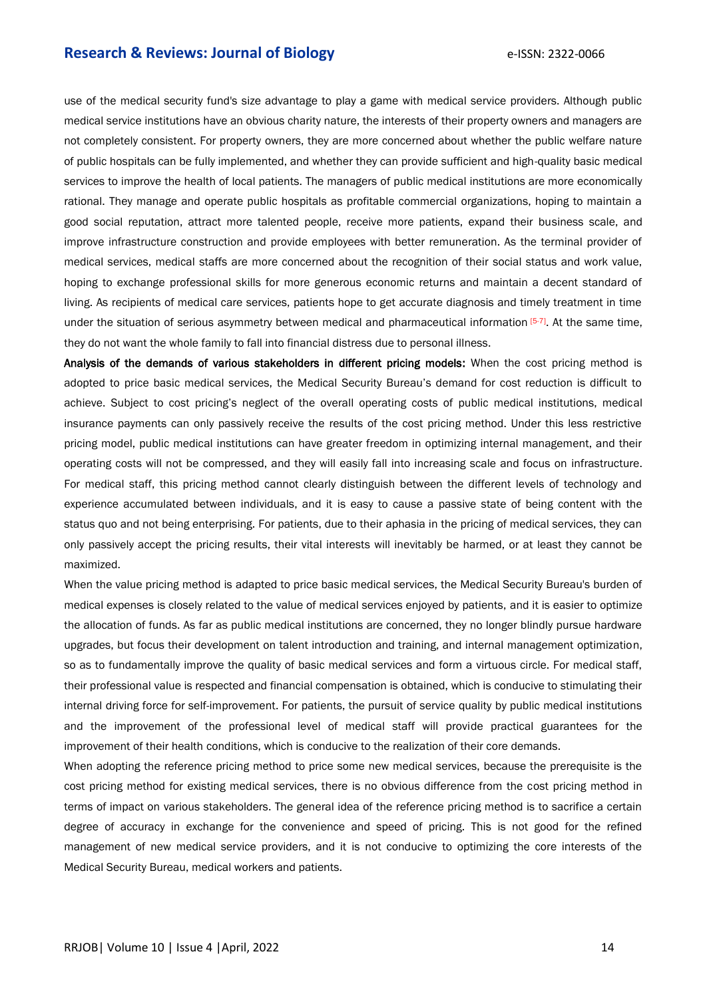use of the medical security fund's size advantage to play a game with medical service providers. Although public medical service institutions have an obvious charity nature, the interests of their property owners and managers are not completely consistent. For property owners, they are more concerned about whether the public welfare nature of public hospitals can be fully implemented, and whether they can provide sufficient and high-quality basic medical services to improve the health of local patients. The managers of public medical institutions are more economically rational. They manage and operate public hospitals as profitable commercial organizations, hoping to maintain a good social reputation, attract more talented people, receive more patients, expand their business scale, and improve infrastructure construction and provide employees with better remuneration. As the terminal provider of medical services, medical staffs are more concerned about the recognition of their social status and work value, hoping to exchange professional skills for more generous economic returns and maintain a decent standard of living. As recipients of medical care services, patients hope to get accurate diagnosis and timely treatment in time under the situation of serious asymmetry between medical and pharmaceutical information [5-7]. At the same time, they do not want the whole family to fall into financial distress due to personal illness.

Analysis of the demands of various stakeholders in different pricing models: When the cost pricing method is adopted to price basic medical services, the Medical Security Bureau's demand for cost reduction is difficult to achieve. Subject to cost pricing's neglect of the overall operating costs of public medical institutions, medical insurance payments can only passively receive the results of the cost pricing method. Under this less restrictive pricing model, public medical institutions can have greater freedom in optimizing internal management, and their operating costs will not be compressed, and they will easily fall into increasing scale and focus on infrastructure. For medical staff, this pricing method cannot clearly distinguish between the different levels of technology and experience accumulated between individuals, and it is easy to cause a passive state of being content with the status quo and not being enterprising. For patients, due to their aphasia in the pricing of medical services, they can only passively accept the pricing results, their vital interests will inevitably be harmed, or at least they cannot be maximized.

When the value pricing method is adapted to price basic medical services, the Medical Security Bureau's burden of medical expenses is closely related to the value of medical services enjoyed by patients, and it is easier to optimize the allocation of funds. As far as public medical institutions are concerned, they no longer blindly pursue hardware upgrades, but focus their development on talent introduction and training, and internal management optimization, so as to fundamentally improve the quality of basic medical services and form a virtuous circle. For medical staff, their professional value is respected and financial compensation is obtained, which is conducive to stimulating their internal driving force for self-improvement. For patients, the pursuit of service quality by public medical institutions and the improvement of the professional level of medical staff will provide practical guarantees for the improvement of their health conditions, which is conducive to the realization of their core demands.

When adopting the reference pricing method to price some new medical services, because the prerequisite is the cost pricing method for existing medical services, there is no obvious difference from the cost pricing method in terms of impact on various stakeholders. The general idea of the reference pricing method is to sacrifice a certain degree of accuracy in exchange for the convenience and speed of pricing. This is not good for the refined management of new medical service providers, and it is not conducive to optimizing the core interests of the Medical Security Bureau, medical workers and patients.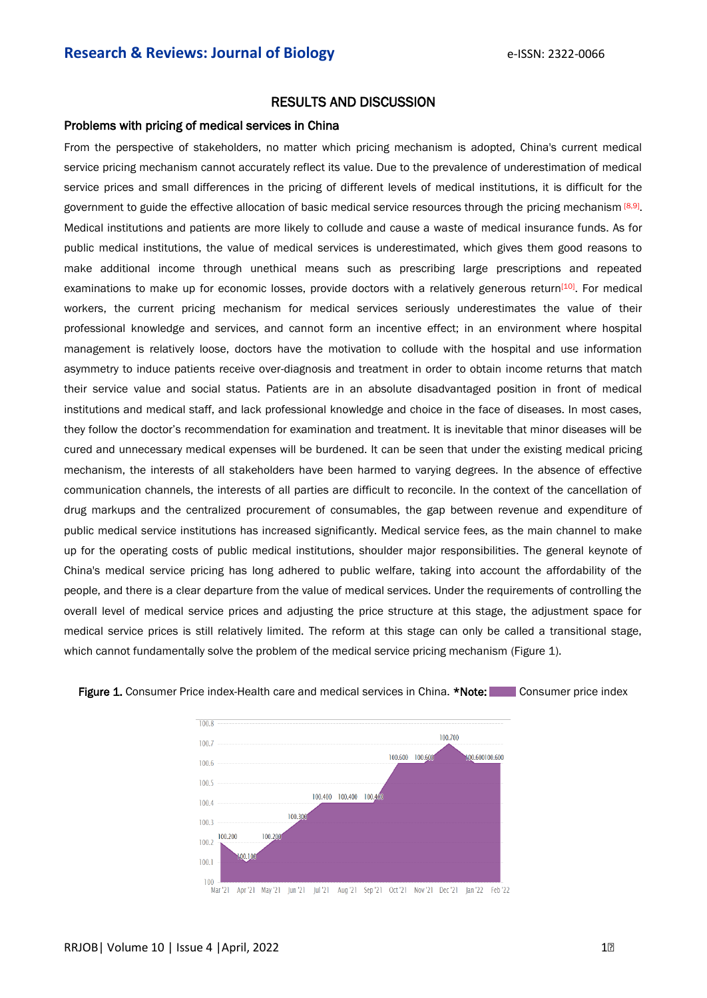# RESULTS AND DISCUSSION

#### Problems with pricing of medical services in China

From the perspective of stakeholders, no matter which pricing mechanism is adopted, China's current medical service pricing mechanism cannot accurately reflect its value. Due to the prevalence of underestimation of medical service prices and small differences in the pricing of different levels of medical institutions, it is difficult for the government to guide the effective allocation of basic medical service resources through the pricing mechanism [8,9]. Medical institutions and patients are more likely to collude and cause a waste of medical insurance funds. As for public medical institutions, the value of medical services is underestimated, which gives them good reasons to make additional income through unethical means such as prescribing large prescriptions and repeated examinations to make up for economic losses, provide doctors with a relatively generous return<sup>[10]</sup>. For medical workers, the current pricing mechanism for medical services seriously underestimates the value of their professional knowledge and services, and cannot form an incentive effect; in an environment where hospital management is relatively loose, doctors have the motivation to collude with the hospital and use information asymmetry to induce patients receive over-diagnosis and treatment in order to obtain income returns that match their service value and social status. Patients are in an absolute disadvantaged position in front of medical institutions and medical staff, and lack professional knowledge and choice in the face of diseases. In most cases, they follow the doctor's recommendation for examination and treatment. It is inevitable that minor diseases will be cured and unnecessary medical expenses will be burdened. It can be seen that under the existing medical pricing mechanism, the interests of all stakeholders have been harmed to varying degrees. In the absence of effective communication channels, the interests of all parties are difficult to reconcile. In the context of the cancellation of drug markups and the centralized procurement of consumables, the gap between revenue and expenditure of public medical service institutions has increased significantly. Medical service fees, as the main channel to make up for the operating costs of public medical institutions, shoulder major responsibilities. The general keynote of China's medical service pricing has long adhered to public welfare, taking into account the affordability of the people, and there is a clear departure from the value of medical services. Under the requirements of controlling the overall level of medical service prices and adjusting the price structure at this stage, the adjustment space for medical service prices is still relatively limited. The reform at this stage can only be called a transitional stage, which cannot fundamentally solve the problem of the medical service pricing mechanism (Figure 1).



#### Figure 1. Consumer Price index-Health care and medical services in China. \*Note: Consumer price index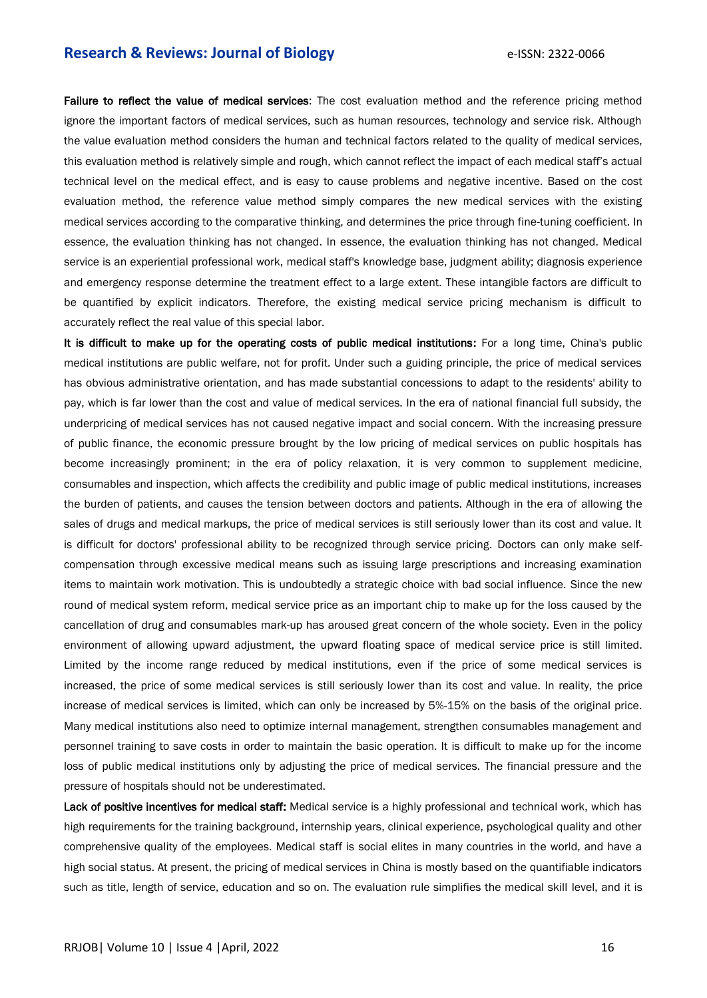Failure to reflect the value of medical services: The cost evaluation method and the reference pricing method ignore the important factors of medical services, such as human resources, technology and service risk. Although the value evaluation method considers the human and technical factors related to the quality of medical services, this evaluation method is relatively simple and rough, which cannot reflect the impact of each medical staff's actual technical level on the medical effect, and is easy to cause problems and negative incentive. Based on the cost evaluation method, the reference value method simply compares the new medical services with the existing medical services according to the comparative thinking, and determines the price through fine-tuning coefficient. In essence, the evaluation thinking has not changed. In essence, the evaluation thinking has not changed. Medical service is an experiential professional work, medical staff's knowledge base, judgment ability; diagnosis experience and emergency response determine the treatment effect to a large extent. These intangible factors are difficult to be quantified by explicit indicators. Therefore, the existing medical service pricing mechanism is difficult to accurately reflect the real value of this special labor.

It is difficult to make up for the operating costs of public medical institutions: For a long time, China's public medical institutions are public welfare, not for profit. Under such a guiding principle, the price of medical services has obvious administrative orientation, and has made substantial concessions to adapt to the residents' ability to pay, which is far lower than the cost and value of medical services. In the era of national financial full subsidy, the underpricing of medical services has not caused negative impact and social concern. With the increasing pressure of public finance, the economic pressure brought by the low pricing of medical services on public hospitals has become increasingly prominent; in the era of policy relaxation, it is very common to supplement medicine, consumables and inspection, which affects the credibility and public image of public medical institutions, increases the burden of patients, and causes the tension between doctors and patients. Although in the era of allowing the sales of drugs and medical markups, the price of medical services is still seriously lower than its cost and value. It is difficult for doctors' professional ability to be recognized through service pricing. Doctors can only make selfcompensation through excessive medical means such as issuing large prescriptions and increasing examination items to maintain work motivation. This is undoubtedly a strategic choice with bad social influence. Since the new round of medical system reform, medical service price as an important chip to make up for the loss caused by the cancellation of drug and consumables mark-up has aroused great concern of the whole society. Even in the policy environment of allowing upward adjustment, the upward floating space of medical service price is still limited. Limited by the income range reduced by medical institutions, even if the price of some medical services is increased, the price of some medical services is still seriously lower than its cost and value. In reality, the price increase of medical services is limited, which can only be increased by 5%-15% on the basis of the original price. Many medical institutions also need to optimize internal management, strengthen consumables management and personnel training to save costs in order to maintain the basic operation. It is difficult to make up for the income loss of public medical institutions only by adjusting the price of medical services. The financial pressure and the pressure of hospitals should not be underestimated.

Lack of positive incentives for medical staff: Medical service is a highly professional and technical work, which has high requirements for the training background, internship years, clinical experience, psychological quality and other comprehensive quality of the employees. Medical staff is social elites in many countries in the world, and have a high social status. At present, the pricing of medical services in China is mostly based on the quantifiable indicators such as title, length of service, education and so on. The evaluation rule simplifies the medical skill level, and it is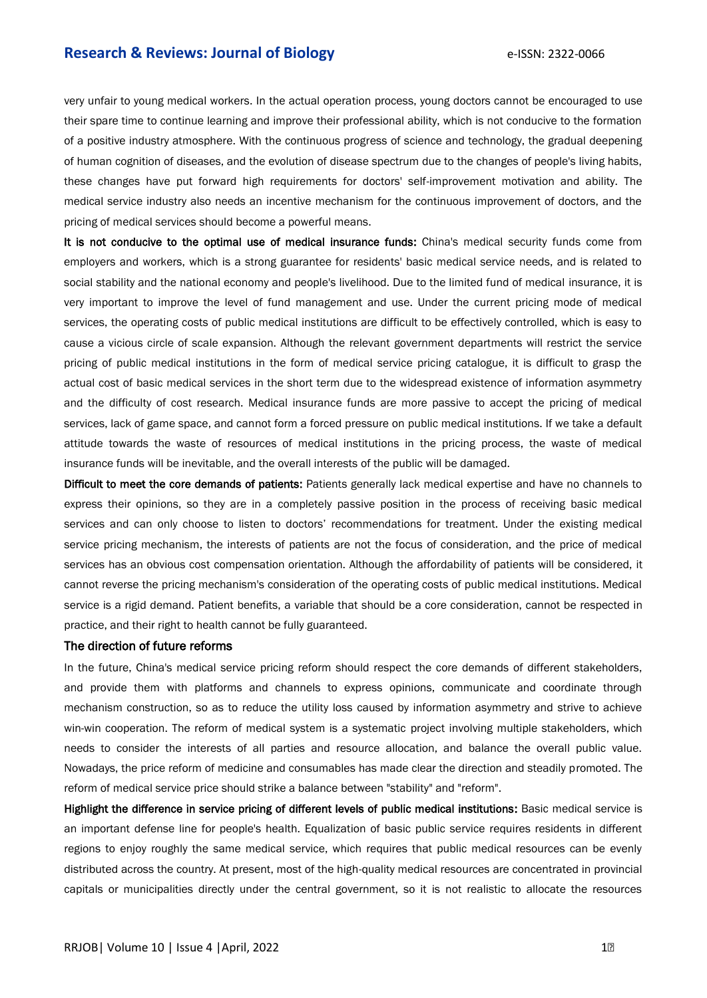very unfair to young medical workers. In the actual operation process, young doctors cannot be encouraged to use their spare time to continue learning and improve their professional ability, which is not conducive to the formation of a positive industry atmosphere. With the continuous progress of science and technology, the gradual deepening of human cognition of diseases, and the evolution of disease spectrum due to the changes of people's living habits, these changes have put forward high requirements for doctors' self-improvement motivation and ability. The medical service industry also needs an incentive mechanism for the continuous improvement of doctors, and the pricing of medical services should become a powerful means.

It is not conducive to the optimal use of medical insurance funds: China's medical security funds come from employers and workers, which is a strong guarantee for residents' basic medical service needs, and is related to social stability and the national economy and people's livelihood. Due to the limited fund of medical insurance, it is very important to improve the level of fund management and use. Under the current pricing mode of medical services, the operating costs of public medical institutions are difficult to be effectively controlled, which is easy to cause a vicious circle of scale expansion. Although the relevant government departments will restrict the service pricing of public medical institutions in the form of medical service pricing catalogue, it is difficult to grasp the actual cost of basic medical services in the short term due to the widespread existence of information asymmetry and the difficulty of cost research. Medical insurance funds are more passive to accept the pricing of medical services, lack of game space, and cannot form a forced pressure on public medical institutions. If we take a default attitude towards the waste of resources of medical institutions in the pricing process, the waste of medical insurance funds will be inevitable, and the overall interests of the public will be damaged.

Difficult to meet the core demands of patients: Patients generally lack medical expertise and have no channels to express their opinions, so they are in a completely passive position in the process of receiving basic medical services and can only choose to listen to doctors' recommendations for treatment. Under the existing medical service pricing mechanism, the interests of patients are not the focus of consideration, and the price of medical services has an obvious cost compensation orientation. Although the affordability of patients will be considered, it cannot reverse the pricing mechanism's consideration of the operating costs of public medical institutions. Medical service is a rigid demand. Patient benefits, a variable that should be a core consideration, cannot be respected in practice, and their right to health cannot be fully guaranteed.

#### The direction of future reforms

In the future, China's medical service pricing reform should respect the core demands of different stakeholders, and provide them with platforms and channels to express opinions, communicate and coordinate through mechanism construction, so as to reduce the utility loss caused by information asymmetry and strive to achieve win-win cooperation. The reform of medical system is a systematic project involving multiple stakeholders, which needs to consider the interests of all parties and resource allocation, and balance the overall public value. Nowadays, the price reform of medicine and consumables has made clear the direction and steadily promoted. The reform of medical service price should strike a balance between "stability" and "reform".

Highlight the difference in service pricing of different levels of public medical institutions: Basic medical service is an important defense line for people's health. Equalization of basic public service requires residents in different regions to enjoy roughly the same medical service, which requires that public medical resources can be evenly distributed across the country. At present, most of the high-quality medical resources are concentrated in provincial capitals or municipalities directly under the central government, so it is not realistic to allocate the resources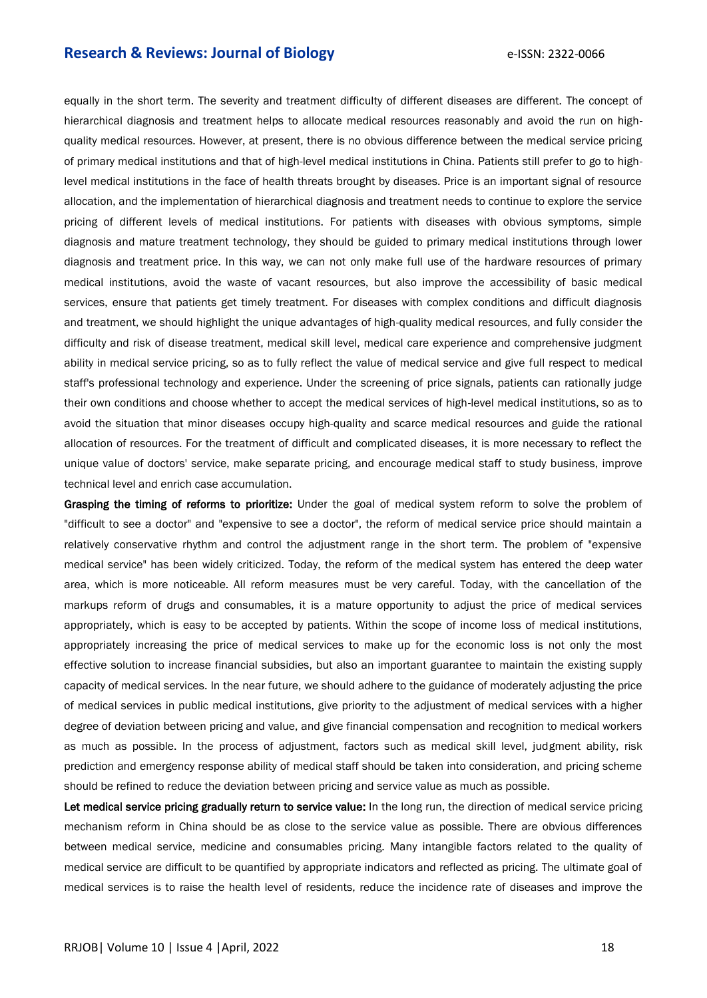equally in the short term. The severity and treatment difficulty of different diseases are different. The concept of hierarchical diagnosis and treatment helps to allocate medical resources reasonably and avoid the run on highquality medical resources. However, at present, there is no obvious difference between the medical service pricing of primary medical institutions and that of high-level medical institutions in China. Patients still prefer to go to highlevel medical institutions in the face of health threats brought by diseases. Price is an important signal of resource allocation, and the implementation of hierarchical diagnosis and treatment needs to continue to explore the service pricing of different levels of medical institutions. For patients with diseases with obvious symptoms, simple diagnosis and mature treatment technology, they should be guided to primary medical institutions through lower diagnosis and treatment price. In this way, we can not only make full use of the hardware resources of primary medical institutions, avoid the waste of vacant resources, but also improve the accessibility of basic medical services, ensure that patients get timely treatment. For diseases with complex conditions and difficult diagnosis and treatment, we should highlight the unique advantages of high-quality medical resources, and fully consider the difficulty and risk of disease treatment, medical skill level, medical care experience and comprehensive judgment ability in medical service pricing, so as to fully reflect the value of medical service and give full respect to medical staff's professional technology and experience. Under the screening of price signals, patients can rationally judge their own conditions and choose whether to accept the medical services of high-level medical institutions, so as to avoid the situation that minor diseases occupy high-quality and scarce medical resources and guide the rational allocation of resources. For the treatment of difficult and complicated diseases, it is more necessary to reflect the unique value of doctors' service, make separate pricing, and encourage medical staff to study business, improve technical level and enrich case accumulation.

Grasping the timing of reforms to prioritize: Under the goal of medical system reform to solve the problem of "difficult to see a doctor" and "expensive to see a doctor", the reform of medical service price should maintain a relatively conservative rhythm and control the adjustment range in the short term. The problem of "expensive medical service" has been widely criticized. Today, the reform of the medical system has entered the deep water area, which is more noticeable. All reform measures must be very careful. Today, with the cancellation of the markups reform of drugs and consumables, it is a mature opportunity to adjust the price of medical services appropriately, which is easy to be accepted by patients. Within the scope of income loss of medical institutions, appropriately increasing the price of medical services to make up for the economic loss is not only the most effective solution to increase financial subsidies, but also an important guarantee to maintain the existing supply capacity of medical services. In the near future, we should adhere to the guidance of moderately adjusting the price of medical services in public medical institutions, give priority to the adjustment of medical services with a higher degree of deviation between pricing and value, and give financial compensation and recognition to medical workers as much as possible. In the process of adjustment, factors such as medical skill level, judgment ability, risk prediction and emergency response ability of medical staff should be taken into consideration, and pricing scheme should be refined to reduce the deviation between pricing and service value as much as possible.

Let medical service pricing gradually return to service value: In the long run, the direction of medical service pricing mechanism reform in China should be as close to the service value as possible. There are obvious differences between medical service, medicine and consumables pricing. Many intangible factors related to the quality of medical service are difficult to be quantified by appropriate indicators and reflected as pricing. The ultimate goal of medical services is to raise the health level of residents, reduce the incidence rate of diseases and improve the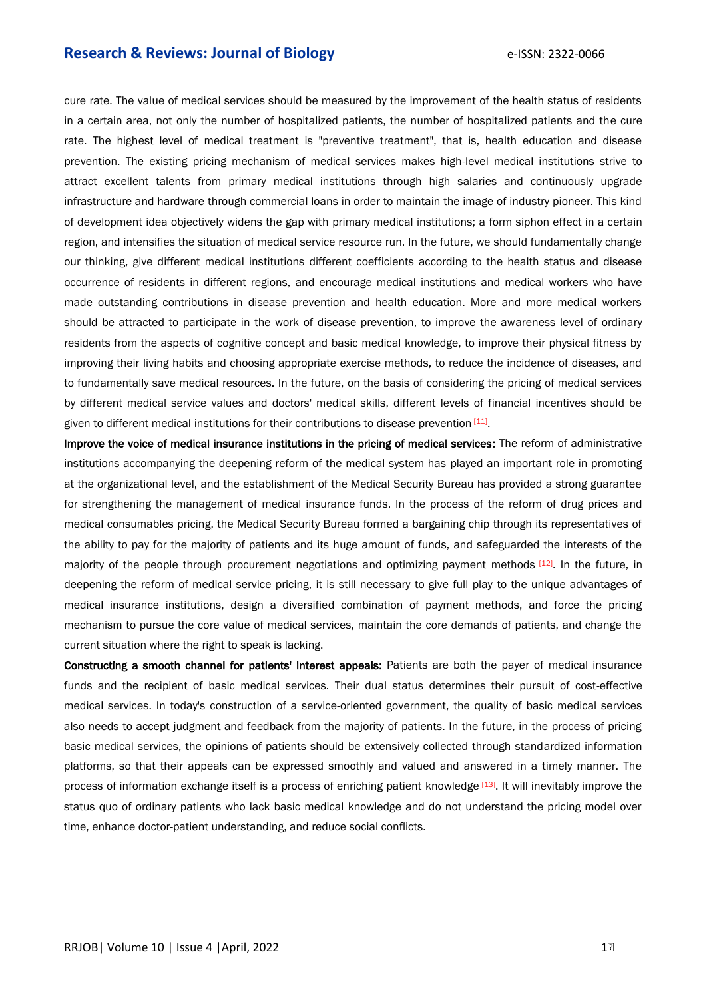cure rate. The value of medical services should be measured by the improvement of the health status of residents in a certain area, not only the number of hospitalized patients, the number of hospitalized patients and the cure rate. The highest level of medical treatment is "preventive treatment", that is, health education and disease prevention. The existing pricing mechanism of medical services makes high-level medical institutions strive to attract excellent talents from primary medical institutions through high salaries and continuously upgrade infrastructure and hardware through commercial loans in order to maintain the image of industry pioneer. This kind of development idea objectively widens the gap with primary medical institutions; a form siphon effect in a certain region, and intensifies the situation of medical service resource run. In the future, we should fundamentally change our thinking, give different medical institutions different coefficients according to the health status and disease occurrence of residents in different regions, and encourage medical institutions and medical workers who have made outstanding contributions in disease prevention and health education. More and more medical workers should be attracted to participate in the work of disease prevention, to improve the awareness level of ordinary residents from the aspects of cognitive concept and basic medical knowledge, to improve their physical fitness by improving their living habits and choosing appropriate exercise methods, to reduce the incidence of diseases, and to fundamentally save medical resources. In the future, on the basis of considering the pricing of medical services by different medical service values and doctors' medical skills, different levels of financial incentives should be given to different medical institutions for their contributions to disease prevention [11].

Improve the voice of medical insurance institutions in the pricing of medical services: The reform of administrative institutions accompanying the deepening reform of the medical system has played an important role in promoting at the organizational level, and the establishment of the Medical Security Bureau has provided a strong guarantee for strengthening the management of medical insurance funds. In the process of the reform of drug prices and medical consumables pricing, the Medical Security Bureau formed a bargaining chip through its representatives of the ability to pay for the majority of patients and its huge amount of funds, and safeguarded the interests of the majority of the people through procurement negotiations and optimizing payment methods [12]. In the future, in deepening the reform of medical service pricing, it is still necessary to give full play to the unique advantages of medical insurance institutions, design a diversified combination of payment methods, and force the pricing mechanism to pursue the core value of medical services, maintain the core demands of patients, and change the current situation where the right to speak is lacking.

Constructing a smooth channel for patients' interest appeals: Patients are both the payer of medical insurance funds and the recipient of basic medical services. Their dual status determines their pursuit of cost-effective medical services. In today's construction of a service-oriented government, the quality of basic medical services also needs to accept judgment and feedback from the majority of patients. In the future, in the process of pricing basic medical services, the opinions of patients should be extensively collected through standardized information platforms, so that their appeals can be expressed smoothly and valued and answered in a timely manner. The process of information exchange itself is a process of enriching patient knowledge [13]. It will inevitably improve the status quo of ordinary patients who lack basic medical knowledge and do not understand the pricing model over time, enhance doctor-patient understanding, and reduce social conflicts.